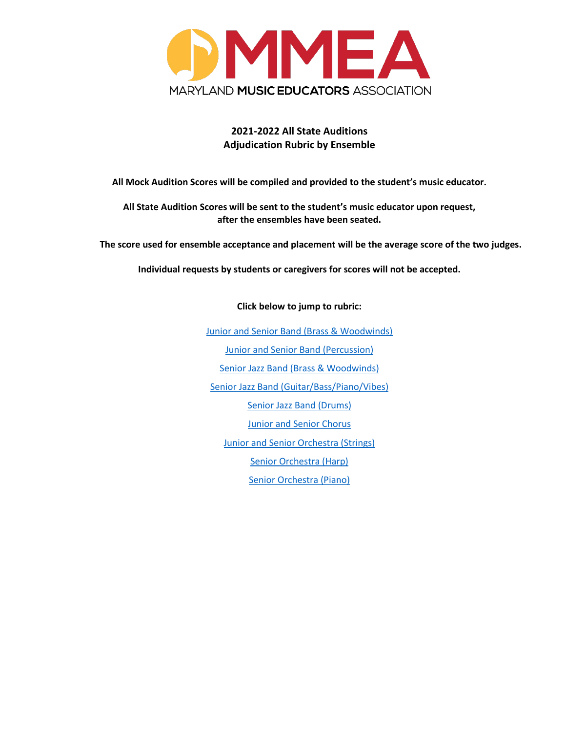

# **2021-2022 All State Auditions Adjudication Rubric by Ensemble**

**All Mock Audition Scores will be compiled and provided to the student's music educator.** 

**All State Audition Scores will be sent to the student's music educator upon request, after the ensembles have been seated.** 

**The score used for ensemble acceptance and placement will be the average score of the two judges.**

**Individual requests by students or caregivers for scores will not be accepted.**

**Click below to jump to rubric:**

[Junior and Senior Band \(Brass & Woodwinds\)](#page-1-0) [Junior and Senior Band \(Percussion\)](#page-1-1) [Senior Jazz Band \(Brass & Woodwinds\)](#page-2-0) [Senior Jazz Band \(Guitar/Bass/Piano/Vibes\)](#page-3-0) [Senior Jazz Band \(Drums\)](#page-4-0) [Junior and Senior Chorus](#page-5-0) [Junior and Senior Orchestra \(Strings\)](#page-6-0) [Senior Orchestra \(Harp\)](#page-7-0) [Senior Orchestra \(Piano\)](#page-8-0)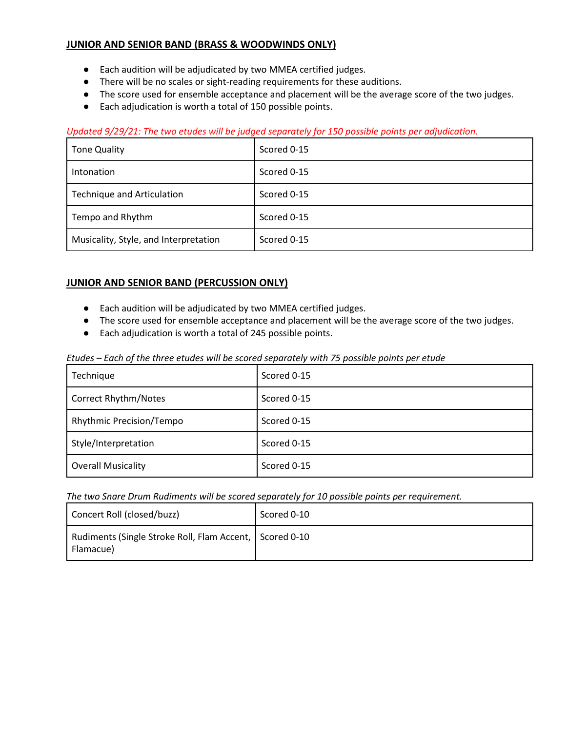## <span id="page-1-0"></span>**JUNIOR AND SENIOR BAND (BRASS & WOODWINDS ONLY)**

- Each audition will be adjudicated by two MMEA certified judges.
- There will be no scales or sight-reading requirements for these auditions.
- The score used for ensemble acceptance and placement will be the average score of the two judges.
- Each adjudication is worth a total of 150 possible points.

## *Updated 9/29/21: The two etudes will be judged separately for 150 possible points per adjudication.*

| <b>Tone Quality</b>                   | Scored 0-15 |
|---------------------------------------|-------------|
| Intonation                            | Scored 0-15 |
| <b>Technique and Articulation</b>     | Scored 0-15 |
| Tempo and Rhythm                      | Scored 0-15 |
| Musicality, Style, and Interpretation | Scored 0-15 |

## <span id="page-1-1"></span>**JUNIOR AND SENIOR BAND (PERCUSSION ONLY)**

- Each audition will be adjudicated by two MMEA certified judges.
- The score used for ensemble acceptance and placement will be the average score of the two judges.
- Each adjudication is worth a total of 245 possible points.

| Etudes – Each of the three etudes will be scored separately with 75 possible points per etude |  |
|-----------------------------------------------------------------------------------------------|--|
|-----------------------------------------------------------------------------------------------|--|

| Technique                       | Scored 0-15 |
|---------------------------------|-------------|
| <b>Correct Rhythm/Notes</b>     | Scored 0-15 |
| <b>Rhythmic Precision/Tempo</b> | Scored 0-15 |
| Style/Interpretation            | Scored 0-15 |
| <b>Overall Musicality</b>       | Scored 0-15 |

### *The two Snare Drum Rudiments will be scored separately for 10 possible points per requirement.*

| Concert Roll (closed/buzz)                                           | Scored 0-10 |
|----------------------------------------------------------------------|-------------|
| Rudiments (Single Stroke Roll, Flam Accent, Scored 0-10<br>Flamacue) |             |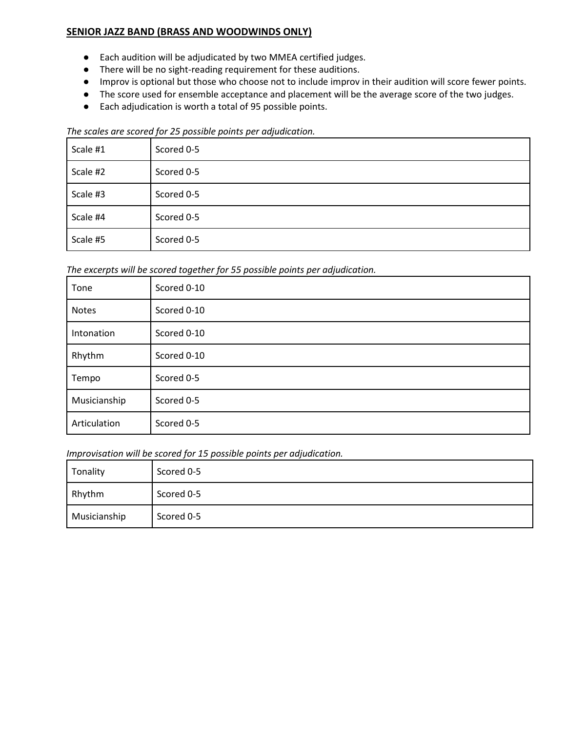# <span id="page-2-0"></span>**SENIOR JAZZ BAND (BRASS AND WOODWINDS ONLY)**

- Each audition will be adjudicated by two MMEA certified judges.
- There will be no sight-reading requirement for these auditions.
- Improv is optional but those who choose not to include improv in their audition will score fewer points.
- The score used for ensemble acceptance and placement will be the average score of the two judges.
- Each adjudication is worth a total of 95 possible points.

#### *The scales are scored for 25 possible points per adjudication.*

| Scale #1 | Scored 0-5 |
|----------|------------|
| Scale #2 | Scored 0-5 |
| Scale #3 | Scored 0-5 |
| Scale #4 | Scored 0-5 |
| Scale #5 | Scored 0-5 |

*The excerpts will be scored together for 55 possible points per adjudication.*

| Tone         | Scored 0-10 |
|--------------|-------------|
| Notes        | Scored 0-10 |
| Intonation   | Scored 0-10 |
| Rhythm       | Scored 0-10 |
| Tempo        | Scored 0-5  |
| Musicianship | Scored 0-5  |
| Articulation | Scored 0-5  |

*Improvisation will be scored for 15 possible points per adjudication.*

| Tonality     | Scored 0-5 |
|--------------|------------|
| Rhythm       | Scored 0-5 |
| Musicianship | Scored 0-5 |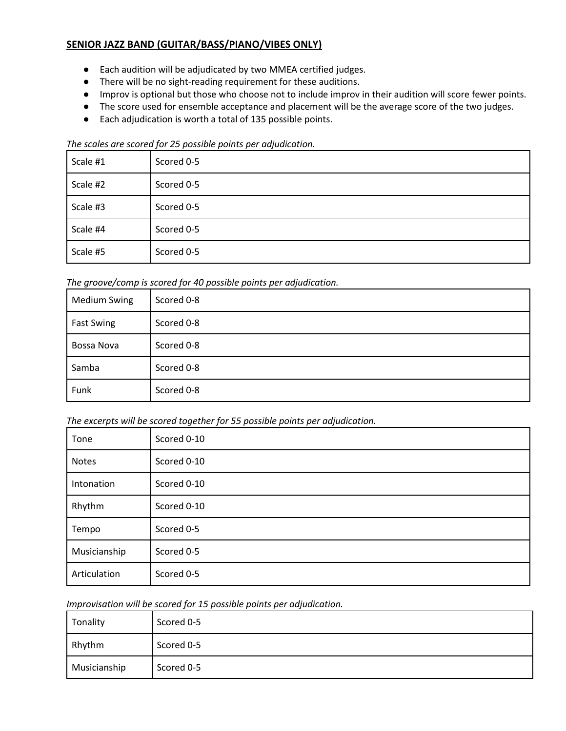# <span id="page-3-0"></span>**SENIOR JAZZ BAND (GUITAR/BASS/PIANO/VIBES ONLY)**

- Each audition will be adjudicated by two MMEA certified judges.
- There will be no sight-reading requirement for these auditions.
- Improv is optional but those who choose not to include improv in their audition will score fewer points.
- The score used for ensemble acceptance and placement will be the average score of the two judges.
- Each adjudication is worth a total of 135 possible points.

#### *The scales are scored for 25 possible points per adjudication.*

| Scale #1 | Scored 0-5 |
|----------|------------|
| Scale #2 | Scored 0-5 |
| Scale #3 | Scored 0-5 |
| Scale #4 | Scored 0-5 |
| Scale #5 | Scored 0-5 |

*The groove/comp is scored for 40 possible points per adjudication.*

| <b>Medium Swing</b> | Scored 0-8 |
|---------------------|------------|
| <b>Fast Swing</b>   | Scored 0-8 |
| Bossa Nova          | Scored 0-8 |
| Samba               | Scored 0-8 |
| Funk                | Scored 0-8 |

*The excerpts will be scored together for 55 possible points per adjudication.*

| Tone         | Scored 0-10 |
|--------------|-------------|
| Notes        | Scored 0-10 |
| Intonation   | Scored 0-10 |
| Rhythm       | Scored 0-10 |
| Tempo        | Scored 0-5  |
| Musicianship | Scored 0-5  |
| Articulation | Scored 0-5  |

*Improvisation will be scored for 15 possible points per adjudication.*

| Tonality     | Scored 0-5 |
|--------------|------------|
| Rhythm       | Scored 0-5 |
| Musicianship | Scored 0-5 |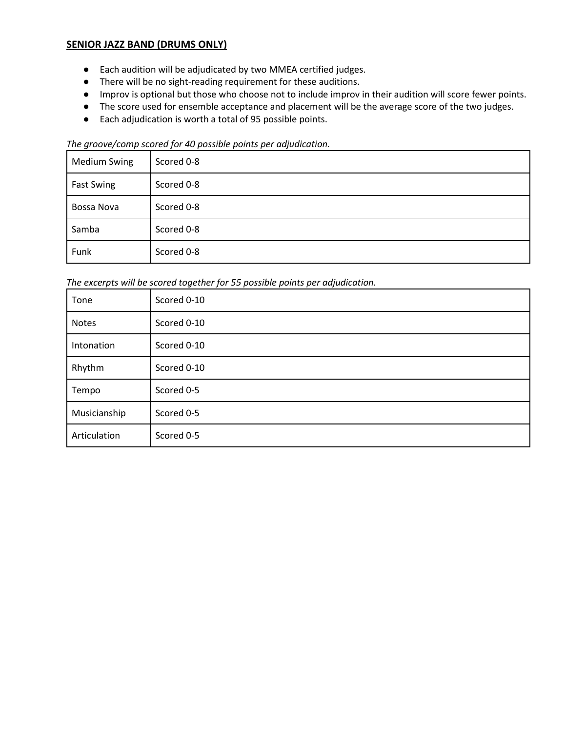# <span id="page-4-0"></span>**SENIOR JAZZ BAND (DRUMS ONLY)**

- Each audition will be adjudicated by two MMEA certified judges.
- There will be no sight-reading requirement for these auditions.
- Improv is optional but those who choose not to include improv in their audition will score fewer points.
- The score used for ensemble acceptance and placement will be the average score of the two judges.
- Each adjudication is worth a total of 95 possible points.

#### *The groove/comp scored for 40 possible points per adjudication.*

| <b>Medium Swing</b> | Scored 0-8 |
|---------------------|------------|
| <b>Fast Swing</b>   | Scored 0-8 |
| Bossa Nova          | Scored 0-8 |
| Samba               | Scored 0-8 |
| Funk                | Scored 0-8 |

*The excerpts will be scored together for 55 possible points per adjudication.*

| Tone         | Scored 0-10 |
|--------------|-------------|
| <b>Notes</b> | Scored 0-10 |
| Intonation   | Scored 0-10 |
| Rhythm       | Scored 0-10 |
| Tempo        | Scored 0-5  |
| Musicianship | Scored 0-5  |
| Articulation | Scored 0-5  |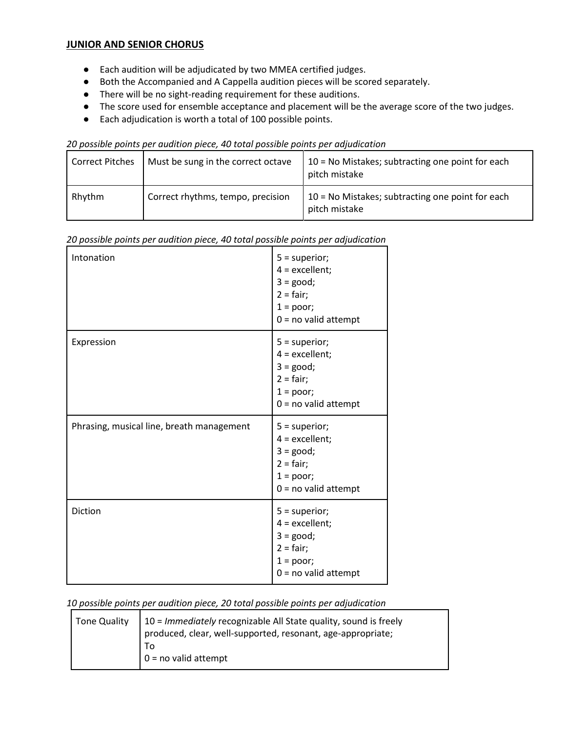### <span id="page-5-0"></span>**JUNIOR AND SENIOR CHORUS**

- Each audition will be adjudicated by two MMEA certified judges.
- Both the Accompanied and A Cappella audition pieces will be scored separately.
- There will be no sight-reading requirement for these auditions.
- The score used for ensemble acceptance and placement will be the average score of the two judges.
- Each adjudication is worth a total of 100 possible points.

| 20 possible points per audition piece, 40 total possible points per adjudication |
|----------------------------------------------------------------------------------|
|----------------------------------------------------------------------------------|

| <b>Correct Pitches</b> | Must be sung in the correct octave | $10 = No$ Mistakes; subtracting one point for each<br>pitch mistake |
|------------------------|------------------------------------|---------------------------------------------------------------------|
| Rhythm                 | Correct rhythms, tempo, precision  | 10 = No Mistakes; subtracting one point for each<br>pitch mistake   |

| Intonation                                | $5 = superior;$<br>$4 =$ excellent;<br>$3 = good;$<br>$2 = \text{fair}$ ;<br>$1 = poor;$<br>$0 = no$ valid attempt |
|-------------------------------------------|--------------------------------------------------------------------------------------------------------------------|
| Expression                                | $5 = superior;$<br>$4 =$ excellent;<br>$3 = good;$<br>$2 = \text{fair}$ ;<br>$1 = poor;$<br>$0 = no$ valid attempt |
| Phrasing, musical line, breath management | $5 = superior;$<br>$4 =$ excellent;<br>$3 = good;$<br>$2 = \text{fair}$ ;<br>$1 = poor;$<br>$0 = no$ valid attempt |
| Diction                                   | $5 = superior;$<br>$4 =$ excellent;<br>$3 = good;$<br>$2 = \text{fair}$ ;<br>$1 = poor;$<br>$0 = no$ valid attempt |

#### *20 possible points per audition piece, 40 total possible points per adjudication*

*10 possible points per audition piece, 20 total possible points per adjudication*

| Tone Quality | $\vert$ 10 = Immediately recognizable All State quality, sound is freely<br>produced, clear, well-supported, resonant, age-appropriate; |
|--------------|-----------------------------------------------------------------------------------------------------------------------------------------|
|              | То<br>$0 = no$ valid attempt                                                                                                            |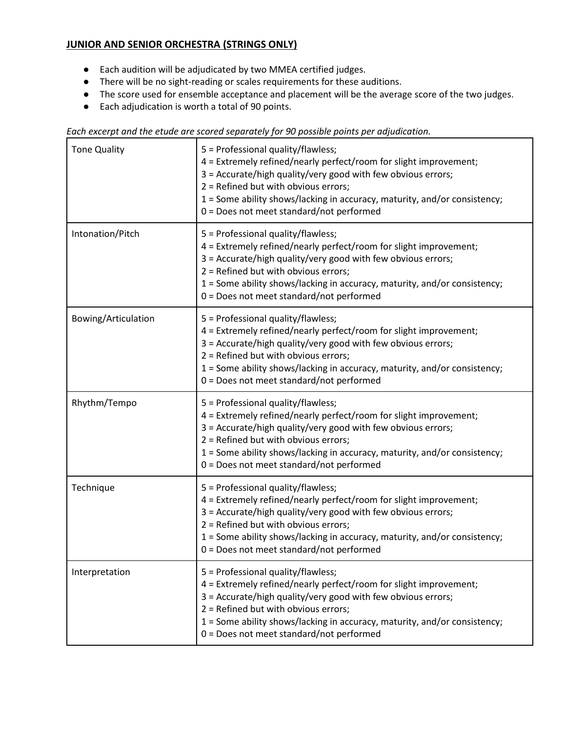# <span id="page-6-0"></span>**JUNIOR AND SENIOR ORCHESTRA (STRINGS ONLY)**

- Each audition will be adjudicated by two MMEA certified judges.
- There will be no sight-reading or scales requirements for these auditions.
- The score used for ensemble acceptance and placement will be the average score of the two judges.
- Each adjudication is worth a total of 90 points.

|  |  |  | Each excerpt and the etude are scored separately for 90 possible points per adjudication. |
|--|--|--|-------------------------------------------------------------------------------------------|
|  |  |  |                                                                                           |

| <b>Tone Quality</b> | 5 = Professional quality/flawless;<br>4 = Extremely refined/nearly perfect/room for slight improvement;<br>3 = Accurate/high quality/very good with few obvious errors;<br>2 = Refined but with obvious errors;<br>1 = Some ability shows/lacking in accuracy, maturity, and/or consistency;<br>0 = Does not meet standard/not performed |
|---------------------|------------------------------------------------------------------------------------------------------------------------------------------------------------------------------------------------------------------------------------------------------------------------------------------------------------------------------------------|
| Intonation/Pitch    | 5 = Professional quality/flawless;<br>4 = Extremely refined/nearly perfect/room for slight improvement;<br>3 = Accurate/high quality/very good with few obvious errors;<br>2 = Refined but with obvious errors;<br>1 = Some ability shows/lacking in accuracy, maturity, and/or consistency;<br>0 = Does not meet standard/not performed |
| Bowing/Articulation | 5 = Professional quality/flawless;<br>4 = Extremely refined/nearly perfect/room for slight improvement;<br>3 = Accurate/high quality/very good with few obvious errors;<br>2 = Refined but with obvious errors;<br>1 = Some ability shows/lacking in accuracy, maturity, and/or consistency;<br>0 = Does not meet standard/not performed |
| Rhythm/Tempo        | 5 = Professional quality/flawless;<br>4 = Extremely refined/nearly perfect/room for slight improvement;<br>3 = Accurate/high quality/very good with few obvious errors;<br>2 = Refined but with obvious errors;<br>1 = Some ability shows/lacking in accuracy, maturity, and/or consistency;<br>0 = Does not meet standard/not performed |
| Technique           | 5 = Professional quality/flawless;<br>4 = Extremely refined/nearly perfect/room for slight improvement;<br>3 = Accurate/high quality/very good with few obvious errors;<br>2 = Refined but with obvious errors;<br>1 = Some ability shows/lacking in accuracy, maturity, and/or consistency;<br>0 = Does not meet standard/not performed |
| Interpretation      | 5 = Professional quality/flawless;<br>4 = Extremely refined/nearly perfect/room for slight improvement;<br>3 = Accurate/high quality/very good with few obvious errors;<br>2 = Refined but with obvious errors;<br>1 = Some ability shows/lacking in accuracy, maturity, and/or consistency;<br>0 = Does not meet standard/not performed |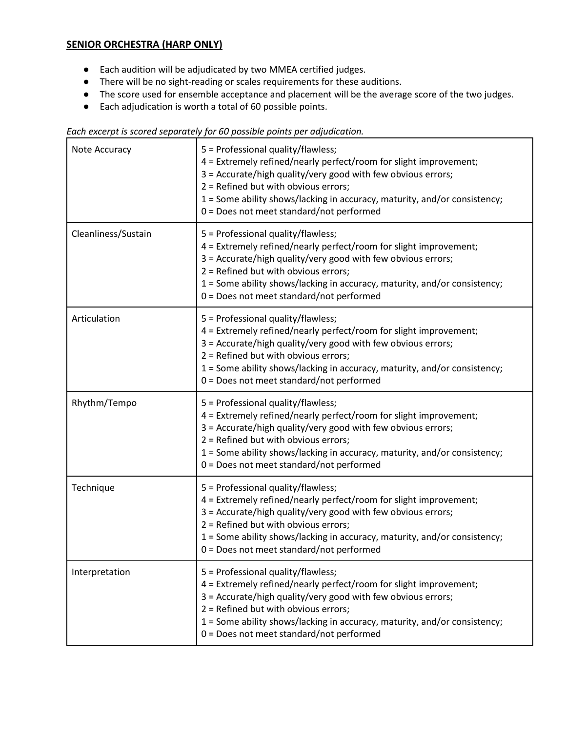## <span id="page-7-0"></span>**SENIOR ORCHESTRA (HARP ONLY)**

- Each audition will be adjudicated by two MMEA certified judges.
- There will be no sight-reading or scales requirements for these auditions.
- The score used for ensemble acceptance and placement will be the average score of the two judges.

٦

● Each adjudication is worth a total of 60 possible points.

| Each excerpt is scored separately for 60 possible points per adjudication. |
|----------------------------------------------------------------------------|
|----------------------------------------------------------------------------|

| Note Accuracy       | 5 = Professional quality/flawless;<br>4 = Extremely refined/nearly perfect/room for slight improvement;<br>3 = Accurate/high quality/very good with few obvious errors;<br>2 = Refined but with obvious errors;<br>1 = Some ability shows/lacking in accuracy, maturity, and/or consistency;<br>0 = Does not meet standard/not performed |
|---------------------|------------------------------------------------------------------------------------------------------------------------------------------------------------------------------------------------------------------------------------------------------------------------------------------------------------------------------------------|
| Cleanliness/Sustain | 5 = Professional quality/flawless;<br>4 = Extremely refined/nearly perfect/room for slight improvement;<br>3 = Accurate/high quality/very good with few obvious errors;<br>2 = Refined but with obvious errors;<br>1 = Some ability shows/lacking in accuracy, maturity, and/or consistency;<br>0 = Does not meet standard/not performed |
| Articulation        | 5 = Professional quality/flawless;<br>4 = Extremely refined/nearly perfect/room for slight improvement;<br>3 = Accurate/high quality/very good with few obvious errors;<br>2 = Refined but with obvious errors;<br>1 = Some ability shows/lacking in accuracy, maturity, and/or consistency;<br>0 = Does not meet standard/not performed |
| Rhythm/Tempo        | 5 = Professional quality/flawless;<br>4 = Extremely refined/nearly perfect/room for slight improvement;<br>3 = Accurate/high quality/very good with few obvious errors;<br>2 = Refined but with obvious errors;<br>1 = Some ability shows/lacking in accuracy, maturity, and/or consistency;<br>0 = Does not meet standard/not performed |
| Technique           | 5 = Professional quality/flawless;<br>4 = Extremely refined/nearly perfect/room for slight improvement;<br>3 = Accurate/high quality/very good with few obvious errors;<br>2 = Refined but with obvious errors;<br>1 = Some ability shows/lacking in accuracy, maturity, and/or consistency;<br>0 = Does not meet standard/not performed |
| Interpretation      | 5 = Professional quality/flawless;<br>4 = Extremely refined/nearly perfect/room for slight improvement;<br>3 = Accurate/high quality/very good with few obvious errors;<br>2 = Refined but with obvious errors;<br>1 = Some ability shows/lacking in accuracy, maturity, and/or consistency;<br>0 = Does not meet standard/not performed |